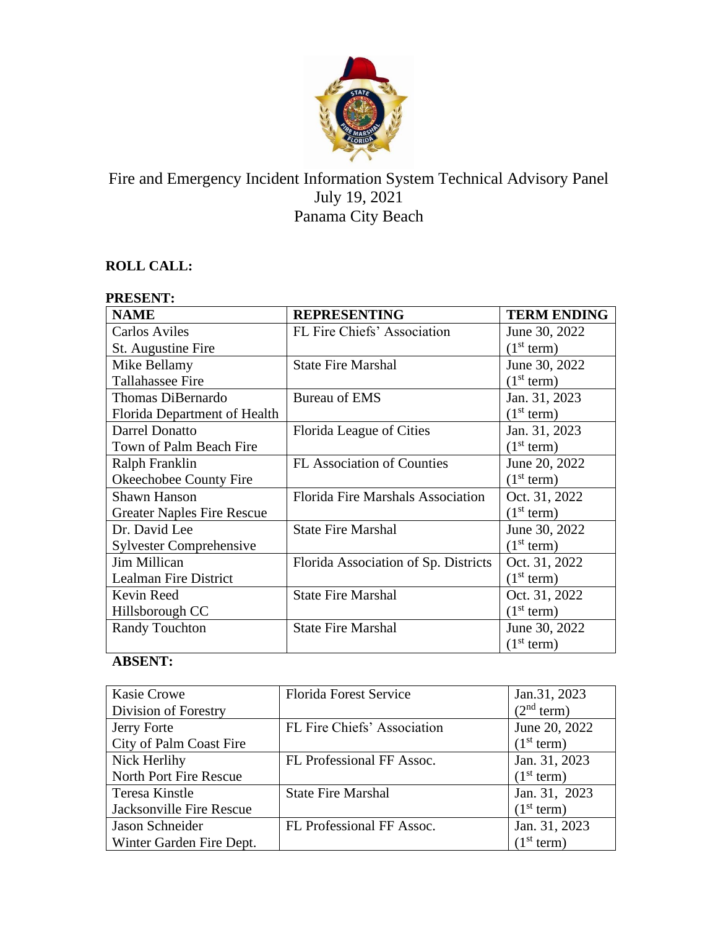

# Fire and Emergency Incident Information System Technical Advisory Panel July 19, 2021 Panama City Beach

### **ROLL CALL:**

| <b>PRESENT:</b>                   |                                      |                        |  |
|-----------------------------------|--------------------------------------|------------------------|--|
| <b>NAME</b>                       | <b>REPRESENTING</b>                  | <b>TERM ENDING</b>     |  |
| <b>Carlos Aviles</b>              | FL Fire Chiefs' Association          | June 30, 2022          |  |
| St. Augustine Fire                |                                      | (1 <sup>st</sup> term) |  |
| Mike Bellamy                      | <b>State Fire Marshal</b>            | June 30, 2022          |  |
| <b>Tallahassee Fire</b>           |                                      | (1 <sup>st</sup> term) |  |
| Thomas DiBernardo                 | <b>Bureau of EMS</b>                 | Jan. 31, 2023          |  |
| Florida Department of Health      |                                      | (1 <sup>st</sup> term) |  |
| Darrel Donatto                    | Florida League of Cities             | Jan. 31, 2023          |  |
| Town of Palm Beach Fire           |                                      | (1 <sup>st</sup> term) |  |
| Ralph Franklin                    | <b>FL</b> Association of Counties    | June 20, 2022          |  |
| Okeechobee County Fire            |                                      | (1 <sup>st</sup> term) |  |
| <b>Shawn Hanson</b>               | Florida Fire Marshals Association    | Oct. 31, 2022          |  |
| <b>Greater Naples Fire Rescue</b> |                                      | (1 <sup>st</sup> term) |  |
| Dr. David Lee                     | <b>State Fire Marshal</b>            | June 30, 2022          |  |
| <b>Sylvester Comprehensive</b>    |                                      | (1 <sup>st</sup> term) |  |
| Jim Millican                      | Florida Association of Sp. Districts | Oct. 31, 2022          |  |
| <b>Lealman Fire District</b>      |                                      | (1 <sup>st</sup> term) |  |
| Kevin Reed                        | <b>State Fire Marshal</b>            | Oct. 31, 2022          |  |
| Hillsborough CC                   |                                      | (1 <sup>st</sup> term) |  |
| <b>Randy Touchton</b>             | <b>State Fire Marshal</b>            | June 30, 2022          |  |
|                                   |                                      | (1 <sup>st</sup> term) |  |

## **ABSENT:**

| <b>Kasie Crowe</b>       | <b>Florida Forest Service</b> | Jan.31, 2023           |
|--------------------------|-------------------------------|------------------------|
| Division of Forestry     |                               | (2 <sup>nd</sup> term) |
| Jerry Forte              | FL Fire Chiefs' Association   | June 20, 2022          |
| City of Palm Coast Fire  |                               | (1 <sup>st</sup> term) |
| Nick Herlihy             | FL Professional FF Assoc.     | Jan. 31, 2023          |
| North Port Fire Rescue   |                               | (1 <sup>st</sup> term) |
| Teresa Kinstle           | <b>State Fire Marshal</b>     | Jan. 31, 2023          |
| Jacksonville Fire Rescue |                               | (1 <sup>st</sup> term) |
| Jason Schneider          | FL Professional FF Assoc.     | Jan. 31, 2023          |
| Winter Garden Fire Dept. |                               | (1 <sup>st</sup> term) |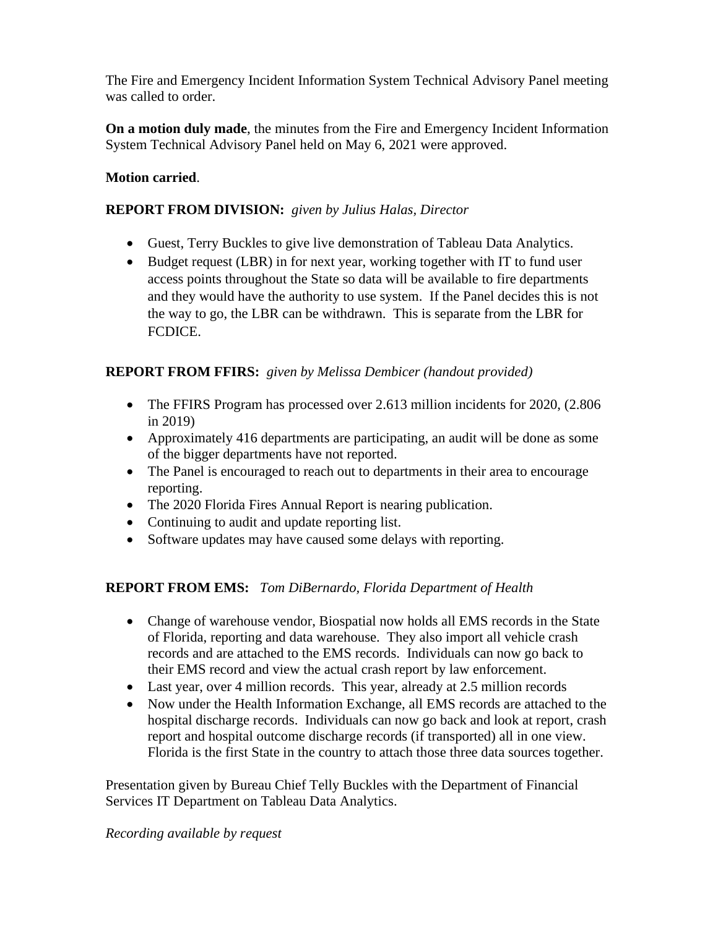The Fire and Emergency Incident Information System Technical Advisory Panel meeting was called to order.

**On a motion duly made**, the minutes from the Fire and Emergency Incident Information System Technical Advisory Panel held on May 6, 2021 were approved.

### **Motion carried**.

#### **REPORT FROM DIVISION:** *given by Julius Halas, Director*

- Guest, Terry Buckles to give live demonstration of Tableau Data Analytics.
- Budget request (LBR) in for next year, working together with IT to fund user access points throughout the State so data will be available to fire departments and they would have the authority to use system. If the Panel decides this is not the way to go, the LBR can be withdrawn. This is separate from the LBR for FCDICE.

### **REPORT FROM FFIRS:** *given by Melissa Dembicer (handout provided)*

- The FFIRS Program has processed over 2.613 million incidents for 2020, (2.806) in 2019)
- Approximately 416 departments are participating, an audit will be done as some of the bigger departments have not reported.
- The Panel is encouraged to reach out to departments in their area to encourage reporting.
- The 2020 Florida Fires Annual Report is nearing publication.
- Continuing to audit and update reporting list.
- Software updates may have caused some delays with reporting.

### **REPORT FROM EMS:** *Tom DiBernardo, Florida Department of Health*

- Change of warehouse vendor, Biospatial now holds all EMS records in the State of Florida, reporting and data warehouse. They also import all vehicle crash records and are attached to the EMS records. Individuals can now go back to their EMS record and view the actual crash report by law enforcement.
- Last year, over 4 million records. This year, already at 2.5 million records
- Now under the Health Information Exchange, all EMS records are attached to the hospital discharge records. Individuals can now go back and look at report, crash report and hospital outcome discharge records (if transported) all in one view. Florida is the first State in the country to attach those three data sources together.

Presentation given by Bureau Chief Telly Buckles with the Department of Financial Services IT Department on Tableau Data Analytics.

#### *Recording available by request*